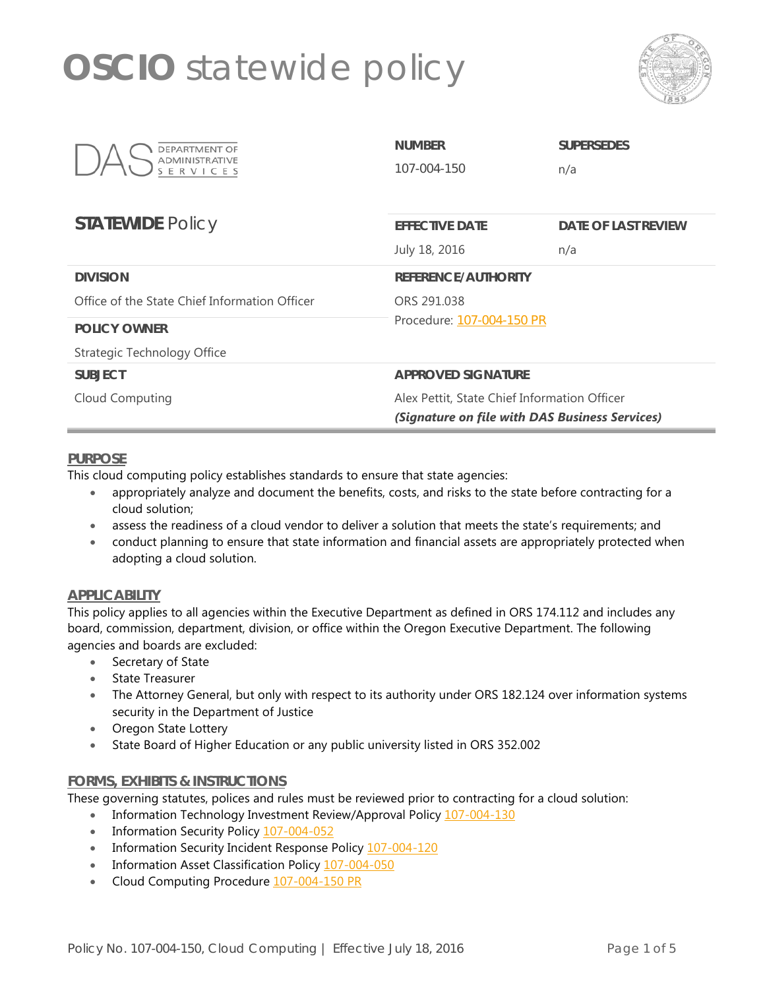

| DEPARTMENT OF<br><b>ADMINISTRATIVE</b><br>ERVI | <b>NUMBER</b><br>107-004-150                   | <b>SUPERSEDES</b><br>n/a   |
|------------------------------------------------|------------------------------------------------|----------------------------|
| <b>STATEWIDE Policy</b>                        | <b>EFFECTIVE DATE</b>                          | <b>DATE OF LAST REVIEW</b> |
|                                                | July 18, 2016                                  | n/a                        |
| <b>DIVISION</b>                                | <b>REFERENCE/AUTHORITY</b>                     |                            |
| Office of the State Chief Information Officer  | ORS 291.038                                    |                            |
| <b>POLICY OWNER</b>                            | Procedure: 107-004-150 PR                      |                            |
| Strategic Technology Office                    |                                                |                            |
| <b>SUBJECT</b>                                 | <b>APPROVED SIGNATURE</b>                      |                            |
| Cloud Computing                                | Alex Pettit, State Chief Information Officer   |                            |
|                                                | (Signature on file with DAS Business Services) |                            |

### **PURPOSE**

This cloud computing policy establishes standards to ensure that state agencies:

- appropriately analyze and document the benefits, costs, and risks to the state before contracting for a cloud solution;
- assess the readiness of a cloud vendor to deliver a solution that meets the state's requirements; and
- conduct planning to ensure that state information and financial assets are appropriately protected when adopting a cloud solution.

#### **APPLICABILITY**

This policy applies to all agencies within the Executive Department as defined in ORS 174.112 and includes any board, commission, department, division, or office within the Oregon Executive Department. The following agencies and boards are excluded:

- Secretary of State
- State Treasurer
- The Attorney General, but only with respect to its authority under ORS 182.124 over information systems security in the Department of Justice
- Oregon State Lottery
- State Board of Higher Education or any public university listed in ORS 352.002

#### **FORMS, EXHIBITS & INSTRUCTIONS**

These governing statutes, polices and rules must be reviewed prior to contracting for a cloud solution:

- Information Technology Investment Review/Approval Policy [107-004-130](http://www.oregon.gov/das/Policies/107-004-130.pdf)
- Information Security Policy [107-004-052](http://www.oregon.gov/das/Policies/107-004-052.pdf)
- Information Security Incident Response Policy [107-004-120](http://www.oregon.gov/das/Policies/107-004-120.pdf)
- Information Asset Classification Policy [107-004-050](http://www.oregon.gov/das/Policies/107-004-050.pdf)
- Cloud Computing Procedure [107-004-150](http://www.oregon.gov/das/Policies/107-004-150_PR.pdf) PR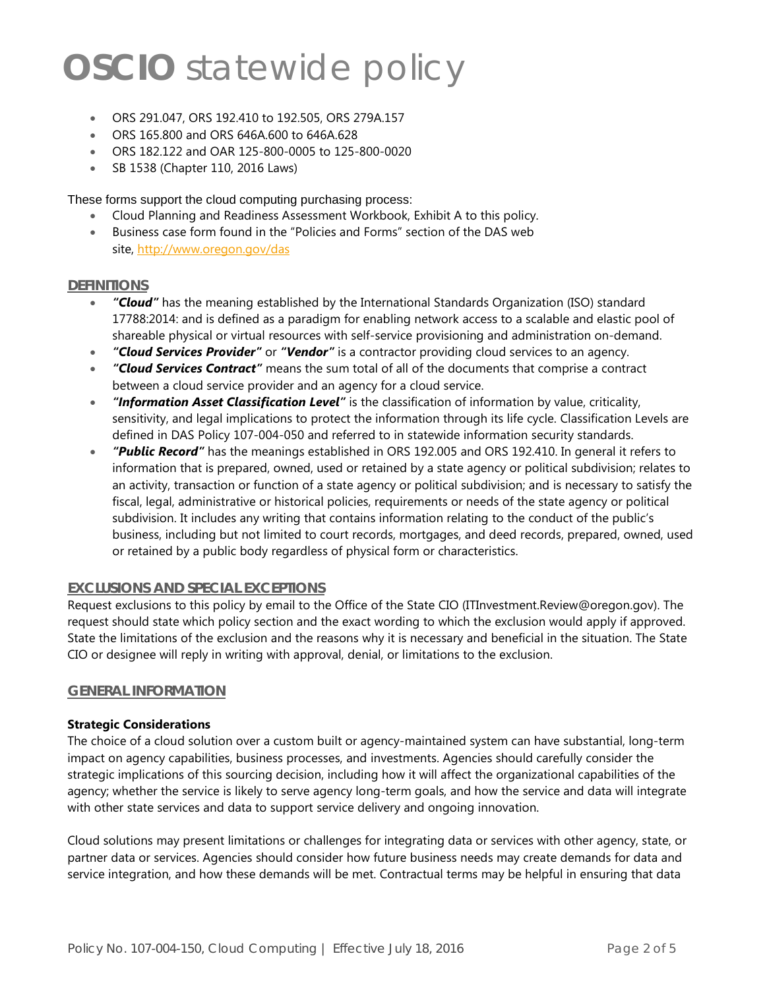- ORS 291.047, ORS 192.410 to 192.505, ORS 279A.157
- ORS 165.800 and ORS 646A.600 to 646A.628
- ORS 182.122 and OAR 125-800-0005 to 125-800-0020
- SB 1538 (Chapter 110, 2016 Laws)

These forms support the cloud computing purchasing process:

- Cloud Planning and Readiness Assessment Workbook, Exhibit A to this policy.
- Business case form found in the "Policies and Forms" section of the DAS web site,<http://www.oregon.gov/das>

#### **DEFINITIONS**

- *"Cloud"* has the meaning established by the International Standards Organization (ISO) standard 17788:2014: and is defined as a paradigm for enabling network access to a scalable and elastic pool of shareable physical or virtual resources with self-service provisioning and administration on-demand.
- *"Cloud Services Provider"* or *"Vendor"* is a contractor providing cloud services to an agency.
- *"Cloud Services Contract"* means the sum total of all of the documents that comprise a contract between a cloud service provider and an agency for a cloud service.
- *"Information Asset Classification Level"* is the classification of information by value, criticality, sensitivity, and legal implications to protect the information through its life cycle. Classification Levels are defined in DAS Policy 107-004-050 and referred to in statewide information security standards.
- *"Public Record"* has the meanings established in ORS 192.005 and ORS 192.410. In general it refers to information that is prepared, owned, used or retained by a state agency or political subdivision; relates to an activity, transaction or function of a state agency or political subdivision; and is necessary to satisfy the fiscal, legal, administrative or historical policies, requirements or needs of the state agency or political subdivision. It includes any writing that contains information relating to the conduct of the public's business, including but not limited to court records, mortgages, and deed records, prepared, owned, used or retained by a public body regardless of physical form or characteristics.

### **EXCLUSIONS AND SPECIAL EXCEPTIONS**

Request exclusions to this policy by email to the Office of the State CIO (ITInvestment.Review@oregon.gov). The request should state which policy section and the exact wording to which the exclusion would apply if approved. State the limitations of the exclusion and the reasons why it is necessary and beneficial in the situation. The State CIO or designee will reply in writing with approval, denial, or limitations to the exclusion.

#### **GENERAL INFORMATION**

#### **Strategic Considerations**

The choice of a cloud solution over a custom built or agency-maintained system can have substantial, long-term impact on agency capabilities, business processes, and investments. Agencies should carefully consider the strategic implications of this sourcing decision, including how it will affect the organizational capabilities of the agency; whether the service is likely to serve agency long-term goals, and how the service and data will integrate with other state services and data to support service delivery and ongoing innovation.

Cloud solutions may present limitations or challenges for integrating data or services with other agency, state, or partner data or services. Agencies should consider how future business needs may create demands for data and service integration, and how these demands will be met. Contractual terms may be helpful in ensuring that data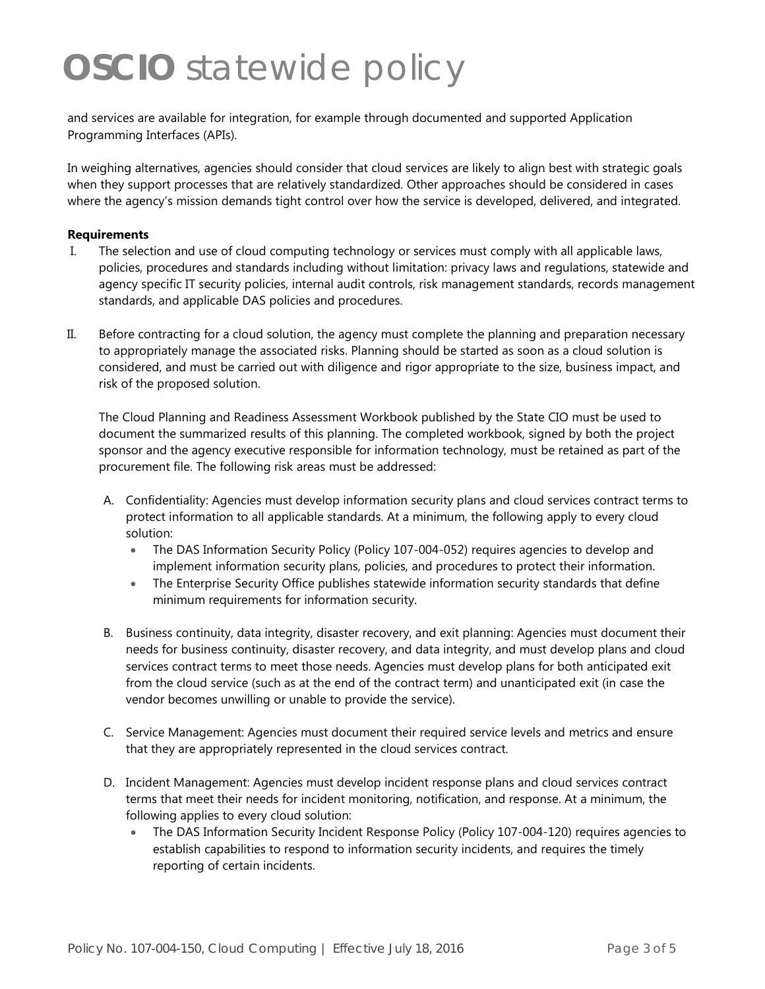and services are available for integration, for example through documented and supported Application Programming Interfaces (APIs).

In weighing alternatives, agencies should consider that cloud services are likely to align best with strategic goals when they support processes that are relatively standardized. Other approaches should be considered in cases where the agency's mission demands tight control over how the service is developed, delivered, and integrated.

#### **Requirements**

- I. The selection and use of cloud computing technology or services must comply with all applicable laws, policies, procedures and standards including without limitation: privacy laws and regulations, statewide and agency specific IT security policies, internal audit controls, risk management standards, records management standards, and applicable DAS policies and procedures.
- II. Before contracting for a cloud solution, the agency must complete the planning and preparation necessary to appropriately manage the associated risks. Planning should be started as soon as a cloud solution is considered, and must be carried out with diligence and rigor appropriate to the size, business impact, and risk of the proposed solution.

The Cloud Planning and Readiness Assessment Workbook published by the State CIO must be used to document the summarized results of this planning. The completed workbook, signed by both the project sponsor and the agency executive responsible for information technology, must be retained as part of the procurement file. The following risk areas must be addressed:

- A. Confidentiality: Agencies must develop information security plans and cloud services contract terms to protect information to all applicable standards. At a minimum, the following apply to every cloud solution:
	- The DAS Information Security Policy (Policy 107-004-052) requires agencies to develop and implement information security plans, policies, and procedures to protect their information.
	- The Enterprise Security Office publishes statewide information security standards that define minimum requirements for information security.
- B. Business continuity, data integrity, disaster recovery, and exit planning: Agencies must document their needs for business continuity, disaster recovery, and data integrity, and must develop plans and cloud services contract terms to meet those needs. Agencies must develop plans for both anticipated exit from the cloud service (such as at the end of the contract term) and unanticipated exit (in case the vendor becomes unwilling or unable to provide the service).
- C. Service Management: Agencies must document their required service levels and metrics and ensure that they are appropriately represented in the cloud services contract.
- D. Incident Management: Agencies must develop incident response plans and cloud services contract terms that meet their needs for incident monitoring, notification, and response. At a minimum, the following applies to every cloud solution:
	- The DAS Information Security Incident Response Policy (Policy 107-004-120) requires agencies to establish capabilities to respond to information security incidents, and requires the timely reporting of certain incidents.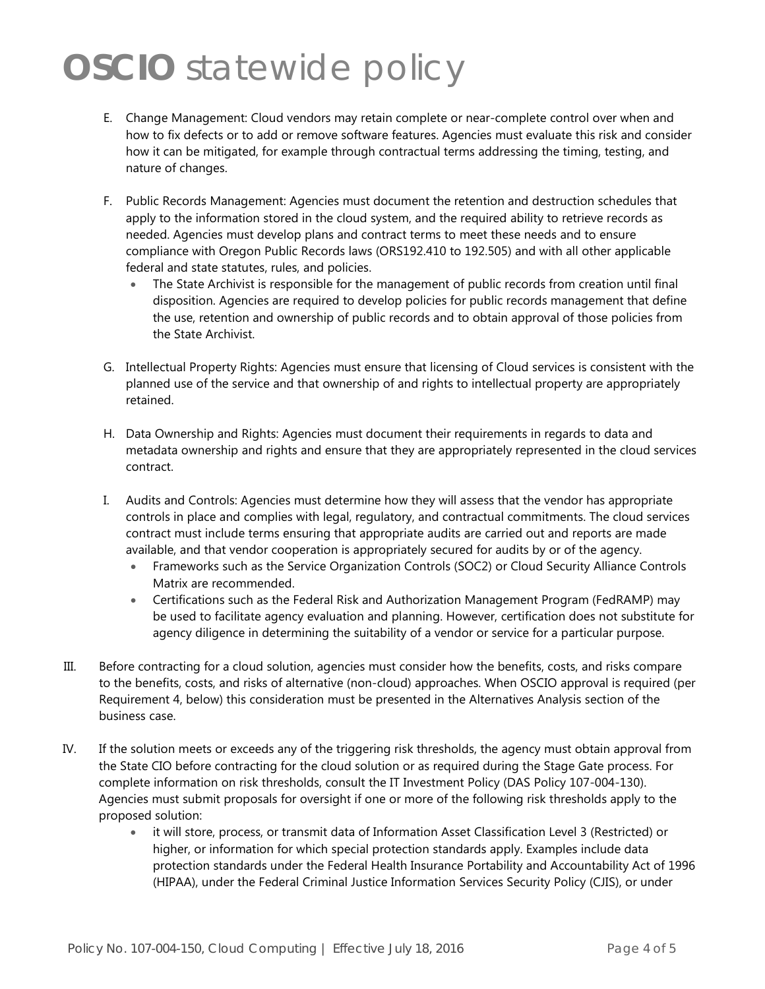- E. Change Management: Cloud vendors may retain complete or near-complete control over when and how to fix defects or to add or remove software features. Agencies must evaluate this risk and consider how it can be mitigated, for example through contractual terms addressing the timing, testing, and nature of changes.
- F. Public Records Management: Agencies must document the retention and destruction schedules that apply to the information stored in the cloud system, and the required ability to retrieve records as needed. Agencies must develop plans and contract terms to meet these needs and to ensure compliance with Oregon Public Records laws (ORS192.410 to 192.505) and with all other applicable federal and state statutes, rules, and policies.
	- The State Archivist is responsible for the management of public records from creation until final disposition. Agencies are required to develop policies for public records management that define the use, retention and ownership of public records and to obtain approval of those policies from the State Archivist.
- G. Intellectual Property Rights: Agencies must ensure that licensing of Cloud services is consistent with the planned use of the service and that ownership of and rights to intellectual property are appropriately retained.
- H. Data Ownership and Rights: Agencies must document their requirements in regards to data and metadata ownership and rights and ensure that they are appropriately represented in the cloud services contract.
- I. Audits and Controls: Agencies must determine how they will assess that the vendor has appropriate controls in place and complies with legal, regulatory, and contractual commitments. The cloud services contract must include terms ensuring that appropriate audits are carried out and reports are made available, and that vendor cooperation is appropriately secured for audits by or of the agency.
	- Frameworks such as the Service Organization Controls (SOC2) or Cloud Security Alliance Controls Matrix are recommended.
	- Certifications such as the Federal Risk and Authorization Management Program (FedRAMP) may be used to facilitate agency evaluation and planning. However, certification does not substitute for agency diligence in determining the suitability of a vendor or service for a particular purpose.
- III. Before contracting for a cloud solution, agencies must consider how the benefits, costs, and risks compare to the benefits, costs, and risks of alternative (non-cloud) approaches. When OSCIO approval is required (per Requirement 4, below) this consideration must be presented in the Alternatives Analysis section of the business case.
- IV. If the solution meets or exceeds any of the triggering risk thresholds, the agency must obtain approval from the State CIO before contracting for the cloud solution or as required during the Stage Gate process. For complete information on risk thresholds, consult the IT Investment Policy (DAS Policy 107-004-130). Agencies must submit proposals for oversight if one or more of the following risk thresholds apply to the proposed solution:
	- it will store, process, or transmit data of Information Asset Classification Level 3 (Restricted) or higher, or information for which special protection standards apply. Examples include data protection standards under the Federal Health Insurance Portability and Accountability Act of 1996 (HIPAA), under the Federal Criminal Justice Information Services Security Policy (CJIS), or under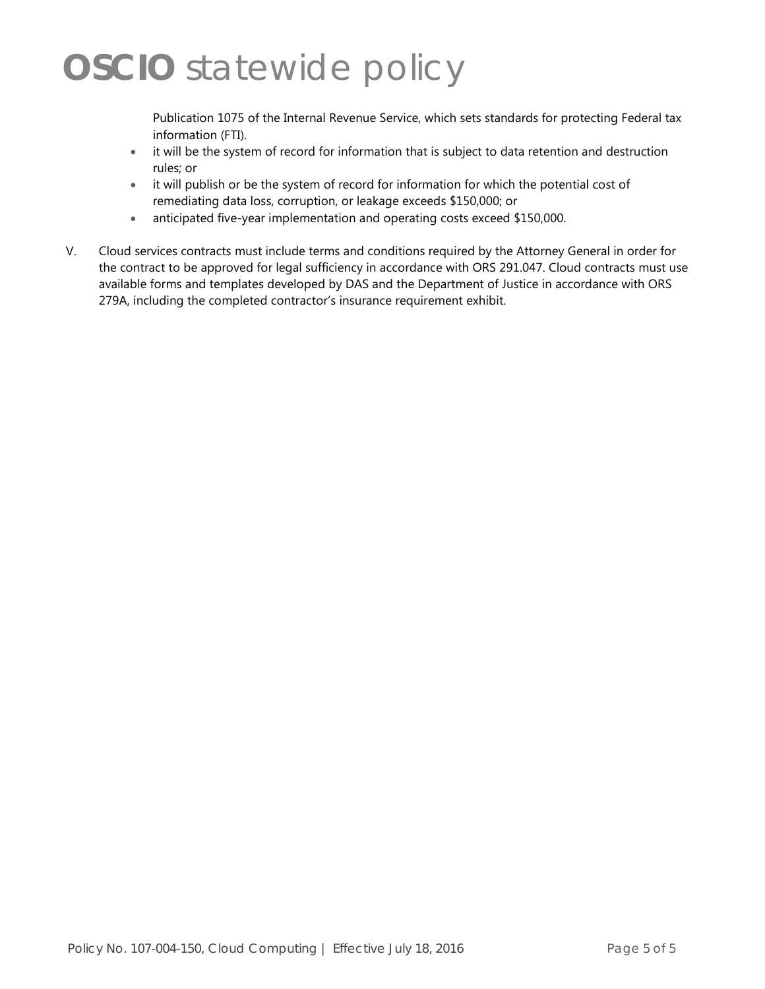Publication 1075 of the Internal Revenue Service, which sets standards for protecting Federal tax information (FTI).

- it will be the system of record for information that is subject to data retention and destruction rules; or
- it will publish or be the system of record for information for which the potential cost of remediating data loss, corruption, or leakage exceeds \$150,000; or
- anticipated five-year implementation and operating costs exceed \$150,000.
- V. Cloud services contracts must include terms and conditions required by the Attorney General in order for the contract to be approved for legal sufficiency in accordance with ORS 291.047. Cloud contracts must use available forms and templates developed by DAS and the Department of Justice in accordance with ORS 279A, including the completed contractor's insurance requirement exhibit.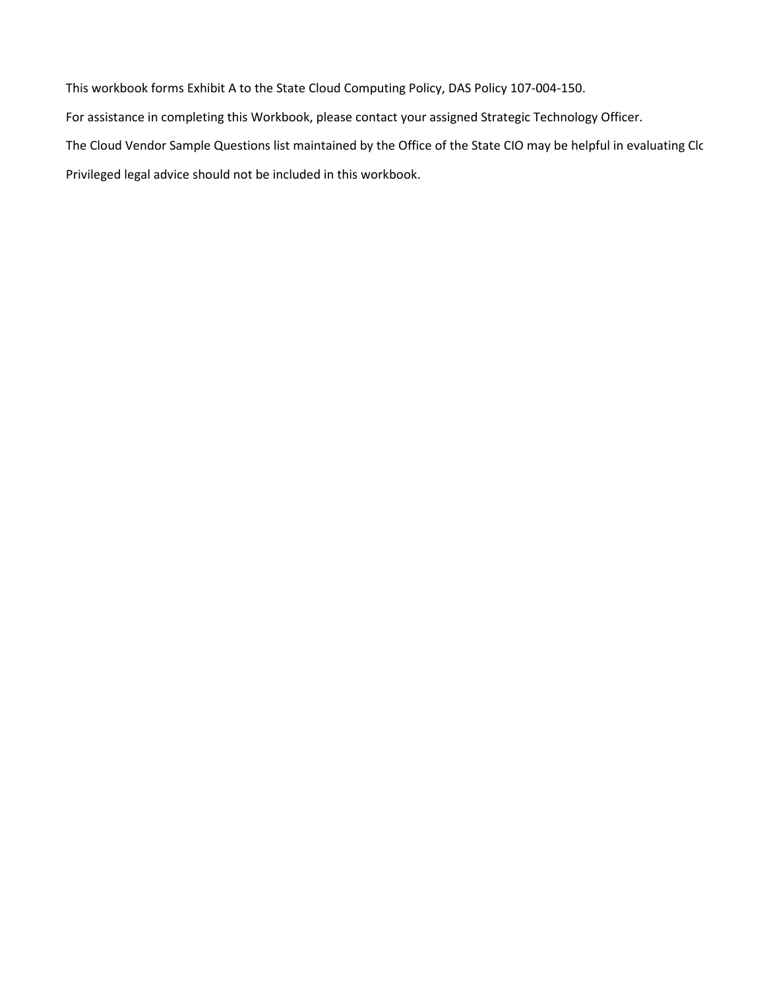This workbook forms Exhibit A to the State Cloud Computing Policy, DAS Policy 107-004-150. For assistance in completing this Workbook, please contact your assigned Strategic Technology Officer. The Cloud Vendor Sample Questions list maintained by the Office of the State CIO may be helpful in evaluating Clo Privileged legal advice should not be included in this workbook.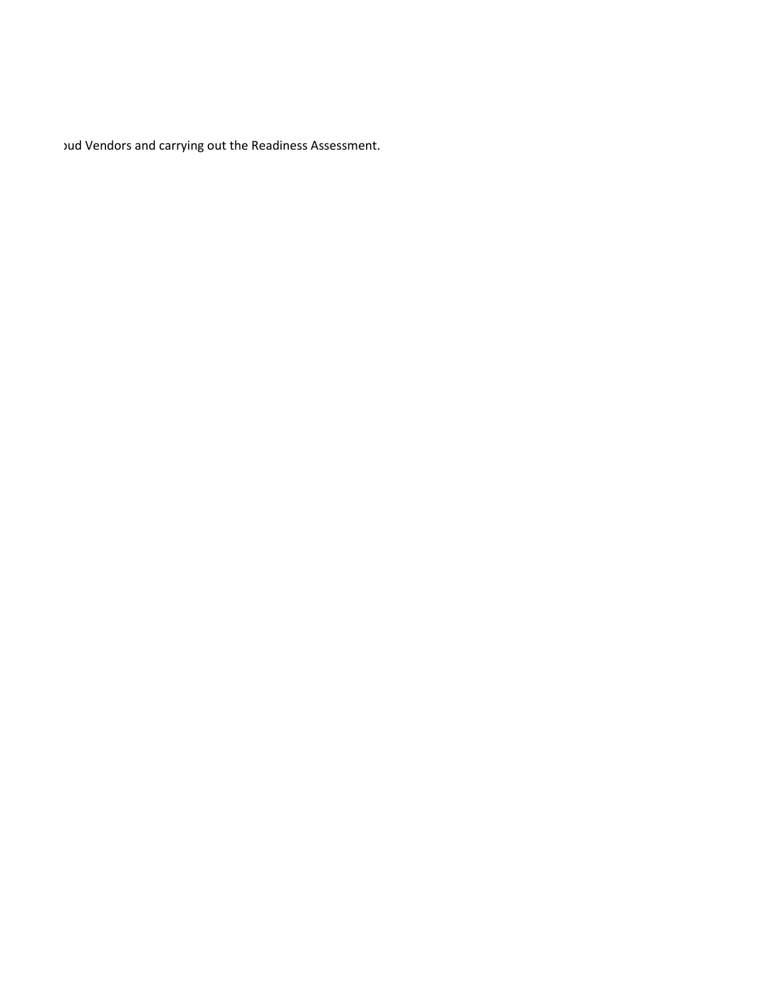oud Vendors and carrying out the Readiness Assessment.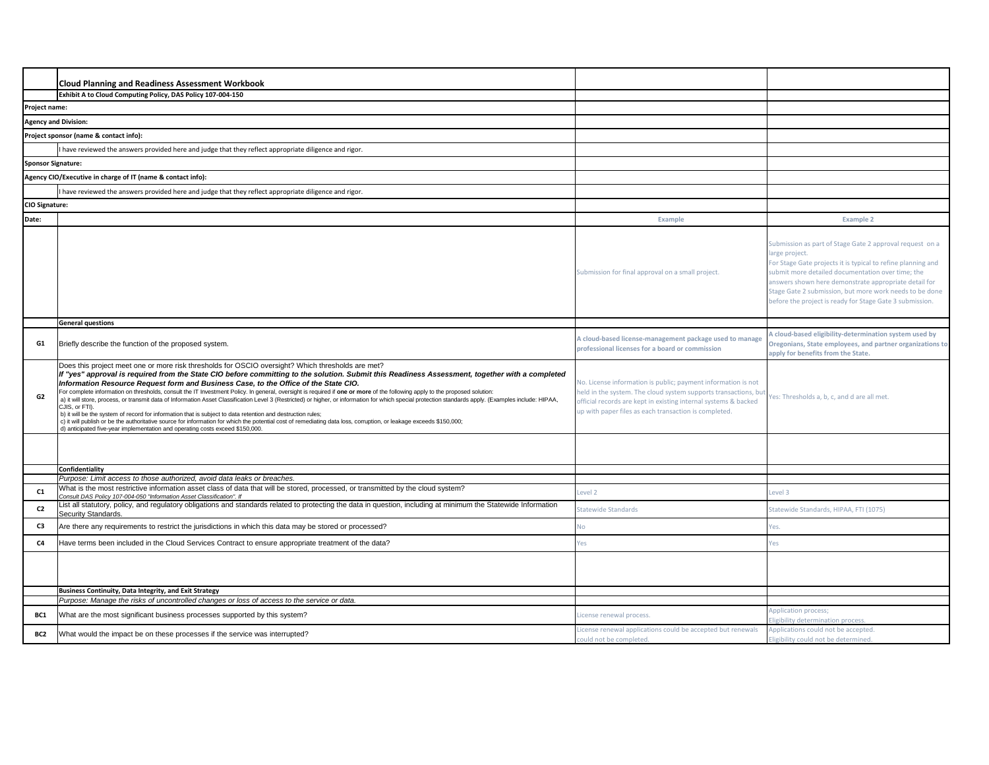|                           | <b>Cloud Planning and Readiness Assessment Workbook</b>                                                                                                                                                                                                                                                                                                                                                                                                                                                                                                                                                                                                                                                                                                                                                                                                                                                                                                                                                                                                                                                                       |                                                                                                                                                                                                                                                              |                                                                                                                                                                                                                                                                                                                                                                                |
|---------------------------|-------------------------------------------------------------------------------------------------------------------------------------------------------------------------------------------------------------------------------------------------------------------------------------------------------------------------------------------------------------------------------------------------------------------------------------------------------------------------------------------------------------------------------------------------------------------------------------------------------------------------------------------------------------------------------------------------------------------------------------------------------------------------------------------------------------------------------------------------------------------------------------------------------------------------------------------------------------------------------------------------------------------------------------------------------------------------------------------------------------------------------|--------------------------------------------------------------------------------------------------------------------------------------------------------------------------------------------------------------------------------------------------------------|--------------------------------------------------------------------------------------------------------------------------------------------------------------------------------------------------------------------------------------------------------------------------------------------------------------------------------------------------------------------------------|
|                           | Exhibit A to Cloud Computing Policy, DAS Policy 107-004-150                                                                                                                                                                                                                                                                                                                                                                                                                                                                                                                                                                                                                                                                                                                                                                                                                                                                                                                                                                                                                                                                   |                                                                                                                                                                                                                                                              |                                                                                                                                                                                                                                                                                                                                                                                |
| Project name:             |                                                                                                                                                                                                                                                                                                                                                                                                                                                                                                                                                                                                                                                                                                                                                                                                                                                                                                                                                                                                                                                                                                                               |                                                                                                                                                                                                                                                              |                                                                                                                                                                                                                                                                                                                                                                                |
|                           | <b>Agency and Division:</b>                                                                                                                                                                                                                                                                                                                                                                                                                                                                                                                                                                                                                                                                                                                                                                                                                                                                                                                                                                                                                                                                                                   |                                                                                                                                                                                                                                                              |                                                                                                                                                                                                                                                                                                                                                                                |
|                           | Project sponsor (name & contact info):                                                                                                                                                                                                                                                                                                                                                                                                                                                                                                                                                                                                                                                                                                                                                                                                                                                                                                                                                                                                                                                                                        |                                                                                                                                                                                                                                                              |                                                                                                                                                                                                                                                                                                                                                                                |
|                           | I have reviewed the answers provided here and judge that they reflect appropriate diligence and rigor.                                                                                                                                                                                                                                                                                                                                                                                                                                                                                                                                                                                                                                                                                                                                                                                                                                                                                                                                                                                                                        |                                                                                                                                                                                                                                                              |                                                                                                                                                                                                                                                                                                                                                                                |
| <b>Sponsor Signature:</b> |                                                                                                                                                                                                                                                                                                                                                                                                                                                                                                                                                                                                                                                                                                                                                                                                                                                                                                                                                                                                                                                                                                                               |                                                                                                                                                                                                                                                              |                                                                                                                                                                                                                                                                                                                                                                                |
|                           | Agency CIO/Executive in charge of IT (name & contact info):                                                                                                                                                                                                                                                                                                                                                                                                                                                                                                                                                                                                                                                                                                                                                                                                                                                                                                                                                                                                                                                                   |                                                                                                                                                                                                                                                              |                                                                                                                                                                                                                                                                                                                                                                                |
|                           | I have reviewed the answers provided here and judge that they reflect appropriate diligence and rigor.                                                                                                                                                                                                                                                                                                                                                                                                                                                                                                                                                                                                                                                                                                                                                                                                                                                                                                                                                                                                                        |                                                                                                                                                                                                                                                              |                                                                                                                                                                                                                                                                                                                                                                                |
| CIO Signature:            |                                                                                                                                                                                                                                                                                                                                                                                                                                                                                                                                                                                                                                                                                                                                                                                                                                                                                                                                                                                                                                                                                                                               |                                                                                                                                                                                                                                                              |                                                                                                                                                                                                                                                                                                                                                                                |
| Date:                     |                                                                                                                                                                                                                                                                                                                                                                                                                                                                                                                                                                                                                                                                                                                                                                                                                                                                                                                                                                                                                                                                                                                               | Example                                                                                                                                                                                                                                                      | <b>Example 2</b>                                                                                                                                                                                                                                                                                                                                                               |
|                           |                                                                                                                                                                                                                                                                                                                                                                                                                                                                                                                                                                                                                                                                                                                                                                                                                                                                                                                                                                                                                                                                                                                               | Submission for final approval on a small project.                                                                                                                                                                                                            | Submission as part of Stage Gate 2 approval request on a<br>large project<br>For Stage Gate projects it is typical to refine planning and<br>submit more detailed documentation over time; the<br>answers shown here demonstrate appropriate detail for<br>Stage Gate 2 submission, but more work needs to be done<br>before the project is ready for Stage Gate 3 submission. |
|                           | <b>General questions</b>                                                                                                                                                                                                                                                                                                                                                                                                                                                                                                                                                                                                                                                                                                                                                                                                                                                                                                                                                                                                                                                                                                      |                                                                                                                                                                                                                                                              |                                                                                                                                                                                                                                                                                                                                                                                |
| G1                        | Briefly describe the function of the proposed system.                                                                                                                                                                                                                                                                                                                                                                                                                                                                                                                                                                                                                                                                                                                                                                                                                                                                                                                                                                                                                                                                         | A cloud-based license-management package used to manage<br>professional licenses for a board or commission                                                                                                                                                   | I cloud-based eligibility-determination system used by<br>Oregonians, State employees, and partner organizations t<br>apply for benefits from the State.                                                                                                                                                                                                                       |
| G <sub>2</sub>            | Does this project meet one or more risk thresholds for OSCIO oversight? Which thresholds are met?<br>If "yes" approval is required from the State CIO before committing to the solution. Submit this Readiness Assessment, together with a completed<br>Information Resource Request form and Business Case, to the Office of the State CIO.<br>For complete information on thresholds, consult the IT Investment Policy. In general, oversight is required if one or more of the following apply to the proposed solution:<br>a) it will store, process, or transmit data of Information Asset Classification Level 3 (Restricted) or higher, or information for which special protection standards apply. (Examples include: HIPAA,<br>CJIS, or FTI).<br>b) it will be the system of record for information that is subject to data retention and destruction rules;<br>c) it will publish or be the authoritative source for information for which the potential cost of remediating data loss, corruption, or leakage exceeds \$150,000;<br>d) anticipated five-year implementation and operating costs exceed \$150,000. | No. License information is public; payment information is not<br>held in the system. The cloud system supports transactions, but<br>official records are kept in existing internal systems & backed<br>up with paper files as each transaction is completed. | 'es: Thresholds a, b, c, and d are all met.                                                                                                                                                                                                                                                                                                                                    |
|                           |                                                                                                                                                                                                                                                                                                                                                                                                                                                                                                                                                                                                                                                                                                                                                                                                                                                                                                                                                                                                                                                                                                                               |                                                                                                                                                                                                                                                              |                                                                                                                                                                                                                                                                                                                                                                                |
|                           | Confidentiality                                                                                                                                                                                                                                                                                                                                                                                                                                                                                                                                                                                                                                                                                                                                                                                                                                                                                                                                                                                                                                                                                                               |                                                                                                                                                                                                                                                              |                                                                                                                                                                                                                                                                                                                                                                                |
|                           | Purpose: Limit access to those authorized, avoid data leaks or breaches.<br>What is the most restrictive information asset class of data that will be stored, processed, or transmitted by the cloud system?                                                                                                                                                                                                                                                                                                                                                                                                                                                                                                                                                                                                                                                                                                                                                                                                                                                                                                                  |                                                                                                                                                                                                                                                              |                                                                                                                                                                                                                                                                                                                                                                                |
| C <sub>1</sub>            | Consult DAS Policy 107-004-050 "Information Asset Classification". If<br>List all statutory, policy, and regulatory obligations and standards related to protecting the data in question, including at minimum the Statewide Information                                                                                                                                                                                                                                                                                                                                                                                                                                                                                                                                                                                                                                                                                                                                                                                                                                                                                      | Level <sub>2</sub>                                                                                                                                                                                                                                           | evel 3                                                                                                                                                                                                                                                                                                                                                                         |
| C <sub>2</sub>            | Security Standards.                                                                                                                                                                                                                                                                                                                                                                                                                                                                                                                                                                                                                                                                                                                                                                                                                                                                                                                                                                                                                                                                                                           | Statewide Standards                                                                                                                                                                                                                                          | Statewide Standards, HIPAA, FTI (1075)                                                                                                                                                                                                                                                                                                                                         |
| C3                        | Are there any requirements to restrict the jurisdictions in which this data may be stored or processed?                                                                                                                                                                                                                                                                                                                                                                                                                                                                                                                                                                                                                                                                                                                                                                                                                                                                                                                                                                                                                       | Ńо                                                                                                                                                                                                                                                           | /es.                                                                                                                                                                                                                                                                                                                                                                           |
| C4                        | Have terms been included in the Cloud Services Contract to ensure appropriate treatment of the data?                                                                                                                                                                                                                                                                                                                                                                                                                                                                                                                                                                                                                                                                                                                                                                                                                                                                                                                                                                                                                          | /es                                                                                                                                                                                                                                                          | /es                                                                                                                                                                                                                                                                                                                                                                            |
|                           |                                                                                                                                                                                                                                                                                                                                                                                                                                                                                                                                                                                                                                                                                                                                                                                                                                                                                                                                                                                                                                                                                                                               |                                                                                                                                                                                                                                                              |                                                                                                                                                                                                                                                                                                                                                                                |
|                           | <b>Business Continuity, Data Integrity, and Exit Strategy</b>                                                                                                                                                                                                                                                                                                                                                                                                                                                                                                                                                                                                                                                                                                                                                                                                                                                                                                                                                                                                                                                                 |                                                                                                                                                                                                                                                              |                                                                                                                                                                                                                                                                                                                                                                                |
|                           | Purpose: Manage the risks of uncontrolled changes or loss of access to the service or data.                                                                                                                                                                                                                                                                                                                                                                                                                                                                                                                                                                                                                                                                                                                                                                                                                                                                                                                                                                                                                                   |                                                                                                                                                                                                                                                              | Application process;                                                                                                                                                                                                                                                                                                                                                           |
| BC1                       | What are the most significant business processes supported by this system?                                                                                                                                                                                                                                                                                                                                                                                                                                                                                                                                                                                                                                                                                                                                                                                                                                                                                                                                                                                                                                                    | icense renewal process                                                                                                                                                                                                                                       | ligibility determination process.                                                                                                                                                                                                                                                                                                                                              |
| BC2                       | What would the impact be on these processes if the service was interrupted?                                                                                                                                                                                                                                                                                                                                                                                                                                                                                                                                                                                                                                                                                                                                                                                                                                                                                                                                                                                                                                                   | License renewal applications could be accepted but renewals<br>could not be completed.                                                                                                                                                                       | Applications could not be accepted.<br>Eligibility could not be determined.                                                                                                                                                                                                                                                                                                    |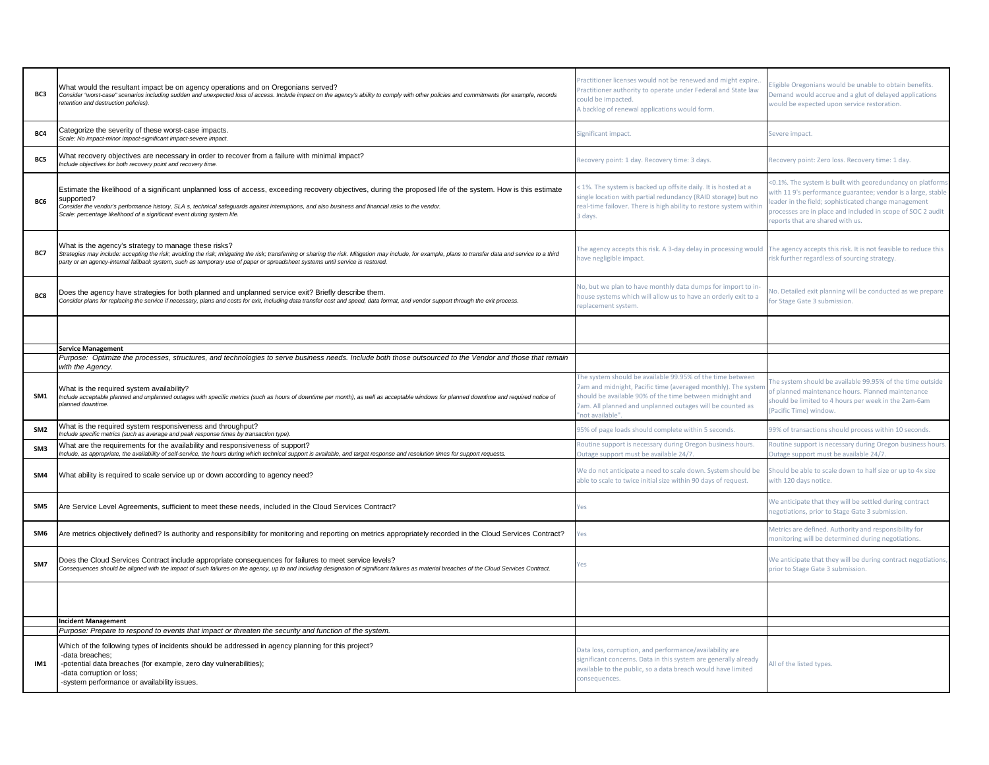| BC3             | What would the resultant impact be on agency operations and on Oregonians served?<br>Consider "worst-case" scenarios including sudden and unexpected loss of access. Include impact on the agency's ability to comply with other policies and commitments (for example, records<br>retention and destruction policies).                                                                                       | ractitioner licenses would not be renewed and might expire.<br>ractitioner authority to operate under Federal and State law<br>could be impacted.<br>A backlog of renewal applications would form.                                                                 | ligible Oregonians would be unable to obtain benefits.<br>Demand would accrue and a glut of delayed applications<br>would be expected upon service restoration.                                                                                                                     |
|-----------------|---------------------------------------------------------------------------------------------------------------------------------------------------------------------------------------------------------------------------------------------------------------------------------------------------------------------------------------------------------------------------------------------------------------|--------------------------------------------------------------------------------------------------------------------------------------------------------------------------------------------------------------------------------------------------------------------|-------------------------------------------------------------------------------------------------------------------------------------------------------------------------------------------------------------------------------------------------------------------------------------|
| BC4             | Categorize the severity of these worst-case impacts.<br>Scale: No impact-minor impact-significant impact-severe impact.                                                                                                                                                                                                                                                                                       | Significant impact.                                                                                                                                                                                                                                                | Severe impact.                                                                                                                                                                                                                                                                      |
| BC5             | What recovery objectives are necessary in order to recover from a failure with minimal impact?<br>Include objectives for both recovery point and recovery time.                                                                                                                                                                                                                                               | Recovery point: 1 day. Recovery time: 3 days.                                                                                                                                                                                                                      | Recovery point: Zero loss. Recovery time: 1 day.                                                                                                                                                                                                                                    |
| BC6             | Estimate the likelihood of a significant unplanned loss of access, exceeding recovery objectives, during the proposed life of the system. How is this estimate<br>supported?<br>Consider the vendor's performance history, SLA s, technical safeguards against interruptions, and also business and financial risks to the vendor.<br>Scale: percentage likelihood of a significant event during system life. | < 1%. The system is backed up offsite daily. It is hosted at a<br>ingle location with partial redundancy (RAID storage) but no<br>eal-time failover. There is high ability to restore system within<br>days.                                                       | <0.1%. The system is built with georedundancy on platform<br>vith 11 9's performance guarantee; vendor is a large, stable<br>eader in the field; sophisticated change management<br>processes are in place and included in scope of SOC 2 audit<br>reports that are shared with us. |
| BC7             | What is the agency's strategy to manage these risks?<br>Strategies may include: accepting the risk; avoiding the risk; mitigating the risk; transferring or sharing the risk. Mitigation may include, for example, plans to transfer data and service to a third<br>party or an agency-internal fallback system, such as temporary use of paper or spreadsheet systems until service is restored.             | The agency accepts this risk. A 3-day delay in processing would<br>ave negligible impact.                                                                                                                                                                          | The agency accepts this risk. It is not feasible to reduce this<br>isk further regardless of sourcing strategy.                                                                                                                                                                     |
| BC8             | Does the agency have strategies for both planned and unplanned service exit? Briefly describe them.<br>Consider plans for replacing the service if necessary, plans and costs for exit, including data transfer cost and speed, data format, and vendor support through the exit process.                                                                                                                     | No, but we plan to have monthly data dumps for import to in-<br>nouse systems which will allow us to have an orderly exit to a<br>eplacement system.                                                                                                               | lo. Detailed exit planning will be conducted as we prepare<br>or Stage Gate 3 submission.                                                                                                                                                                                           |
|                 |                                                                                                                                                                                                                                                                                                                                                                                                               |                                                                                                                                                                                                                                                                    |                                                                                                                                                                                                                                                                                     |
|                 | <b>Service Management</b>                                                                                                                                                                                                                                                                                                                                                                                     |                                                                                                                                                                                                                                                                    |                                                                                                                                                                                                                                                                                     |
|                 | Purpose: Optimize the processes, structures, and technologies to serve business needs. Include both those outsourced to the Vendor and those that remain<br>with the Agency.                                                                                                                                                                                                                                  |                                                                                                                                                                                                                                                                    |                                                                                                                                                                                                                                                                                     |
| SM1             | What is the required system availability?<br>Include acceptable planned and unplanned outages with specific metrics (such as hours of downtime per month), as well as acceptable windows for planned downtime and required notice of<br>planned downtime.                                                                                                                                                     | The system should be available 99.95% of the time between<br>am and midnight, Pacific time (averaged monthly). The syster<br>hould be available 90% of the time between midnight and<br>am. All planned and unplanned outages will be counted as<br>not available" | he system should be available 99.95% of the time outside<br>of planned maintenance hours. Planned maintenance<br>hould be limited to 4 hours per week in the 2am-6am<br>Pacific Time) window.                                                                                       |
| SM <sub>2</sub> | What is the required system responsiveness and throughput?<br>nclude specific metrics (such as average and peak response times by transaction type).                                                                                                                                                                                                                                                          | 35% of page loads should complete within 5 seconds.                                                                                                                                                                                                                | 99% of transactions should process within 10 seconds.                                                                                                                                                                                                                               |
| SM3             | What are the requirements for the availability and responsiveness of support?<br>Include, as appropriate, the availability of self-service, the hours during which technical support is available, and target response and resolution times for support requests.                                                                                                                                             | toutine support is necessary during Oregon business hours.<br>Outage support must be available 24/7                                                                                                                                                                | Routine support is necessary during Oregon business hours<br>Outage support must be available 24/7.                                                                                                                                                                                 |
| SM4             | What ability is required to scale service up or down according to agency need?                                                                                                                                                                                                                                                                                                                                | We do not anticipate a need to scale down. System should be<br>ble to scale to twice initial size within 90 days of request.                                                                                                                                       | Should be able to scale down to half size or up to 4x size<br>with 120 days notice.                                                                                                                                                                                                 |
| SM5             | Are Service Level Agreements, sufficient to meet these needs, included in the Cloud Services Contract?                                                                                                                                                                                                                                                                                                        | /es                                                                                                                                                                                                                                                                | We anticipate that they will be settled during contract<br>negotiations, prior to Stage Gate 3 submission.                                                                                                                                                                          |
| SM6             | Are metrics objectively defined? Is authority and responsibility for monitoring and reporting on metrics appropriately recorded in the Cloud Services Contract?                                                                                                                                                                                                                                               | 'es                                                                                                                                                                                                                                                                | Metrics are defined. Authority and responsibility for<br>nonitoring will be determined during negotiations.                                                                                                                                                                         |
| SM7             | Does the Cloud Services Contract include appropriate consequences for failures to meet service levels?<br>Consequences should be aligned with the impact of such failures on the agency, up to and including designation of significant failures as material breaches of the Cloud Services Contract.                                                                                                         | /es                                                                                                                                                                                                                                                                | We anticipate that they will be during contract negotiations<br>orior to Stage Gate 3 submission.                                                                                                                                                                                   |
|                 |                                                                                                                                                                                                                                                                                                                                                                                                               |                                                                                                                                                                                                                                                                    |                                                                                                                                                                                                                                                                                     |
|                 | <b>Incident Management</b>                                                                                                                                                                                                                                                                                                                                                                                    |                                                                                                                                                                                                                                                                    |                                                                                                                                                                                                                                                                                     |
|                 | Purpose: Prepare to respond to events that impact or threaten the security and function of the system.                                                                                                                                                                                                                                                                                                        |                                                                                                                                                                                                                                                                    |                                                                                                                                                                                                                                                                                     |
| IM1             | Which of the following types of incidents should be addressed in agency planning for this project?<br>-data breaches:<br>-potential data breaches (for example, zero day vulnerabilities);<br>-data corruption or loss;<br>-system performance or availability issues.                                                                                                                                        | Data loss, corruption, and performance/availability are<br>ignificant concerns. Data in this system are generally already<br>available to the public, so a data breach would have limited<br>consequences.                                                         | All of the listed types.                                                                                                                                                                                                                                                            |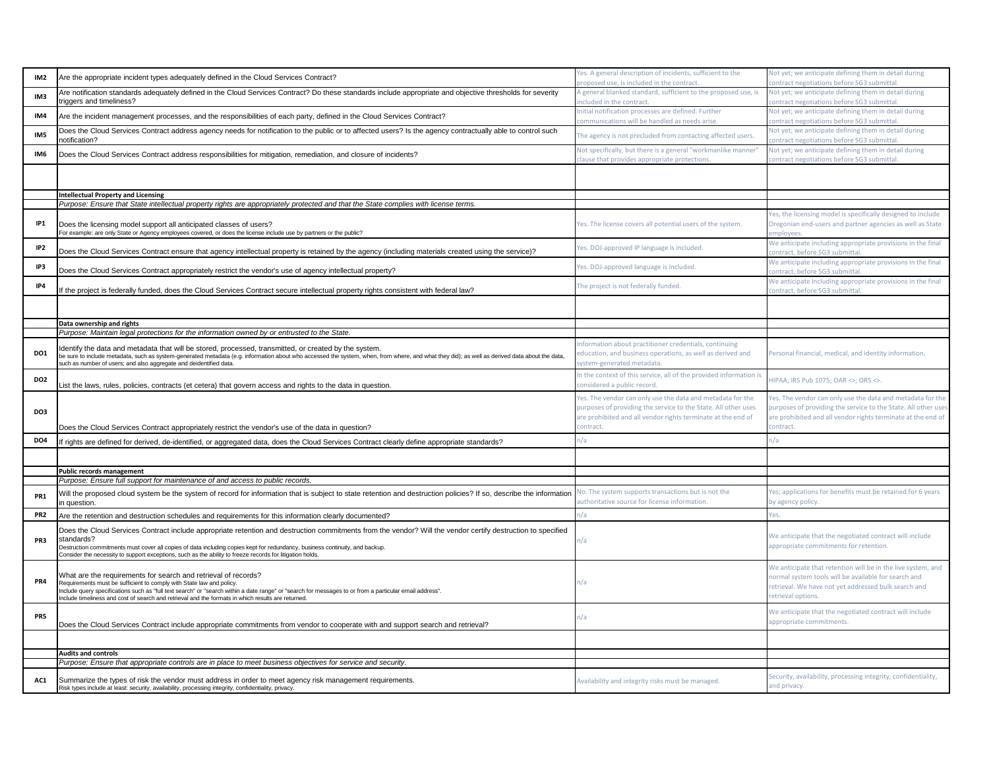| IM <sub>2</sub> | Are the appropriate incident types adequately defined in the Cloud Services Contract?                                                                                                                                                                                                                                                                                                                   | Yes. A general description of incidents, sufficient to the<br>roposed use, is included in the contract.                                                                                                  | Not yet; we anticipate defining them in detail during<br>ontract negotiations before SG3 submittal.                                                                                                       |
|-----------------|---------------------------------------------------------------------------------------------------------------------------------------------------------------------------------------------------------------------------------------------------------------------------------------------------------------------------------------------------------------------------------------------------------|----------------------------------------------------------------------------------------------------------------------------------------------------------------------------------------------------------|-----------------------------------------------------------------------------------------------------------------------------------------------------------------------------------------------------------|
| IM <sub>3</sub> | Are notification standards adequately defined in the Cloud Services Contract? Do these standards include appropriate and objective thresholds for severity<br>triggers and timeliness?                                                                                                                                                                                                                  | A general blanked standard, sufficient to the proposed use, is<br>ncluded in the contract.                                                                                                               | Not yet; we anticipate defining them in detail during<br>contract negotiations before SG3 submittal.                                                                                                      |
| IM4             | Are the incident management processes, and the responsibilities of each party, defined in the Cloud Services Contract?                                                                                                                                                                                                                                                                                  | nitial notification processes are defined. Further<br>ommunications will be handled as needs arise.                                                                                                      | Not yet; we anticipate defining them in detail during<br>contract negotiations before SG3 submittal.                                                                                                      |
| IM5             | Does the Cloud Services Contract address agency needs for notification to the public or to affected users? Is the agency contractually able to control such<br>notification?                                                                                                                                                                                                                            | The agency is not precluded from contacting affected users.                                                                                                                                              | Not yet; we anticipate defining them in detail during<br>contract negotiations before SG3 submittal.                                                                                                      |
| IM6             | Does the Cloud Services Contract address responsibilities for mitigation, remediation, and closure of incidents?                                                                                                                                                                                                                                                                                        | Not specifically, but there is a general "workmanlike manner<br>lause that provides appropriate protections.                                                                                             | Not yet; we anticipate defining them in detail during<br>contract negotiations before SG3 submittal.                                                                                                      |
|                 |                                                                                                                                                                                                                                                                                                                                                                                                         |                                                                                                                                                                                                          |                                                                                                                                                                                                           |
|                 | <b>Intellectual Property and Licensing</b>                                                                                                                                                                                                                                                                                                                                                              |                                                                                                                                                                                                          |                                                                                                                                                                                                           |
|                 | Purpose: Ensure that State intellectual property rights are appropriately protected and that the State complies with license terms.                                                                                                                                                                                                                                                                     |                                                                                                                                                                                                          |                                                                                                                                                                                                           |
|                 |                                                                                                                                                                                                                                                                                                                                                                                                         |                                                                                                                                                                                                          | Yes, the licensing model is specifically designed to include                                                                                                                                              |
| IP1             | Does the licensing model support all anticipated classes of users?<br>For example: are only State or Agency employees covered, or does the license include use by partners or the public?                                                                                                                                                                                                               | Yes. The license covers all potential users of the system.                                                                                                                                               | Oregonian end-users and partner agencies as well as State<br>mployee                                                                                                                                      |
| IP <sub>2</sub> | Does the Cloud Services Contract ensure that agency intellectual property is retained by the agency (including materials created using the service)?                                                                                                                                                                                                                                                    | es. DOJ-approved IP language is included.                                                                                                                                                                | We anticipate including appropriate provisions in the final<br>contract, before SG3 submittal.                                                                                                            |
| IP3             | Does the Cloud Services Contract appropriately restrict the vendor's use of agency intellectual property?                                                                                                                                                                                                                                                                                               | Yes. DOJ-approved language is included.                                                                                                                                                                  | We anticipate including appropriate provisions in the final<br>contract, before SG3 submittal.                                                                                                            |
| IP4             | If the project is federally funded, does the Cloud Services Contract secure intellectual property rights consistent with federal law?                                                                                                                                                                                                                                                                   | The project is not federally funded.                                                                                                                                                                     | We anticipate including appropriate provisions in the final<br>contract, before SG3 submittal.                                                                                                            |
|                 |                                                                                                                                                                                                                                                                                                                                                                                                         |                                                                                                                                                                                                          |                                                                                                                                                                                                           |
|                 | Data ownership and rights                                                                                                                                                                                                                                                                                                                                                                               |                                                                                                                                                                                                          |                                                                                                                                                                                                           |
|                 | Purpose: Maintain legal protections for the information owned by or entrusted to the State.                                                                                                                                                                                                                                                                                                             |                                                                                                                                                                                                          |                                                                                                                                                                                                           |
| DO1             | Identify the data and metadata that will be stored, processed, transmitted, or created by the system.<br>be sure to include metadata, such as system-generated metadata (e.g. information about who accessed the system, when, from where, and what they did); as well as derived data about the data,<br>such as number of users; and also aggregate and deidentified data.                            | nformation about practitioner credentials, continuing<br>education, and business operations, as well as derived and<br>ystem-generated metadata.                                                         | Personal financial, medical, and identity information.                                                                                                                                                    |
| DO <sub>2</sub> | List the laws, rules, policies, contracts (et cetera) that govern access and rights to the data in question.                                                                                                                                                                                                                                                                                            | n the context of this service, all of the provided information is<br>onsidered a public record.                                                                                                          | HIPAA; IRS Pub 1075; OAR <>; ORS <>.                                                                                                                                                                      |
| DO3             | Does the Cloud Services Contract appropriately restrict the vendor's use of the data in question?                                                                                                                                                                                                                                                                                                       | Yes. The vendor can only use the data and metadata for the<br>purposes of providing the service to the State. All other uses<br>are prohibited and all vendor rights terminate at the end of<br>ontract. | Yes. The vendor can only use the data and metadata for the<br>purposes of providing the service to the State. All other uses<br>are prohibited and all vendor rights terminate at the end of<br>contract. |
| DO4             |                                                                                                                                                                                                                                                                                                                                                                                                         |                                                                                                                                                                                                          | n/a                                                                                                                                                                                                       |
|                 | If rights are defined for derived, de-identified, or aggregated data, does the Cloud Services Contract clearly define appropriate standards?                                                                                                                                                                                                                                                            | ı/a                                                                                                                                                                                                      |                                                                                                                                                                                                           |
|                 |                                                                                                                                                                                                                                                                                                                                                                                                         |                                                                                                                                                                                                          |                                                                                                                                                                                                           |
|                 | Public records management                                                                                                                                                                                                                                                                                                                                                                               |                                                                                                                                                                                                          |                                                                                                                                                                                                           |
|                 | Purpose: Ensure full support for maintenance of and access to public records.                                                                                                                                                                                                                                                                                                                           |                                                                                                                                                                                                          |                                                                                                                                                                                                           |
| PR <sub>1</sub> | Will the proposed cloud system be the system of record for information that is subject to state retention and destruction policies? If so, describe the information<br>in question.                                                                                                                                                                                                                     | No. The system supports transactions but is not the<br>uthoritative source for license information.                                                                                                      | Yes; applications for benefits must be retained for 6 years<br>by agency policy.                                                                                                                          |
| PR <sub>2</sub> | Are the retention and destruction schedules and requirements for this information clearly documented?                                                                                                                                                                                                                                                                                                   | /a                                                                                                                                                                                                       | Yes.                                                                                                                                                                                                      |
|                 | Does the Cloud Services Contract include appropriate retention and destruction commitments from the vendor? Will the vendor certify destruction to specified                                                                                                                                                                                                                                            |                                                                                                                                                                                                          |                                                                                                                                                                                                           |
| PR3             | standards?<br>Destruction commitments must cover all copies of data including copies kept for redundancy, business continuity, and backup.<br>Consider the necessity to support exceptions, such as the ability to freeze records for litigation holds.                                                                                                                                                 | ה/ו                                                                                                                                                                                                      | We anticipate that the negotiated contract will include<br>appropriate commitments for retention.                                                                                                         |
| PR4             | What are the requirements for search and retrieval of records?<br>Requirements must be sufficient to comply with State law and policy.<br>Include query specifications such as "full text search" or "search within a date range" or "search for messages to or from a particular email address".<br>Include timeliness and cost of search and retrieval and the formats in which results are returned. | ı/a                                                                                                                                                                                                      | We anticipate that retention will be in the live system, and<br>normal system tools will be available for search and<br>retrieval. We have not yet addressed bulk search and<br>retrieval options.        |
| PR5             | Does the Cloud Services Contract include appropriate commitments from vendor to cooperate with and support search and retrieval?                                                                                                                                                                                                                                                                        | ٦/a                                                                                                                                                                                                      | We anticipate that the negotiated contract will include<br>appropriate commitments.                                                                                                                       |
|                 |                                                                                                                                                                                                                                                                                                                                                                                                         |                                                                                                                                                                                                          |                                                                                                                                                                                                           |
|                 | <b>Audits and controls</b>                                                                                                                                                                                                                                                                                                                                                                              |                                                                                                                                                                                                          |                                                                                                                                                                                                           |
|                 | Purpose: Ensure that appropriate controls are in place to meet business objectives for service and security.                                                                                                                                                                                                                                                                                            |                                                                                                                                                                                                          |                                                                                                                                                                                                           |
| AC1             | Summarize the types of risk the vendor must address in order to meet agency risk management requirements.<br>Risk types include at least: security, availability, processing integrity, confidentiality, privacy.                                                                                                                                                                                       | Availability and integrity risks must be managed.                                                                                                                                                        | Security, availability, processing integrity, confidentiality,<br>and privacy.                                                                                                                            |